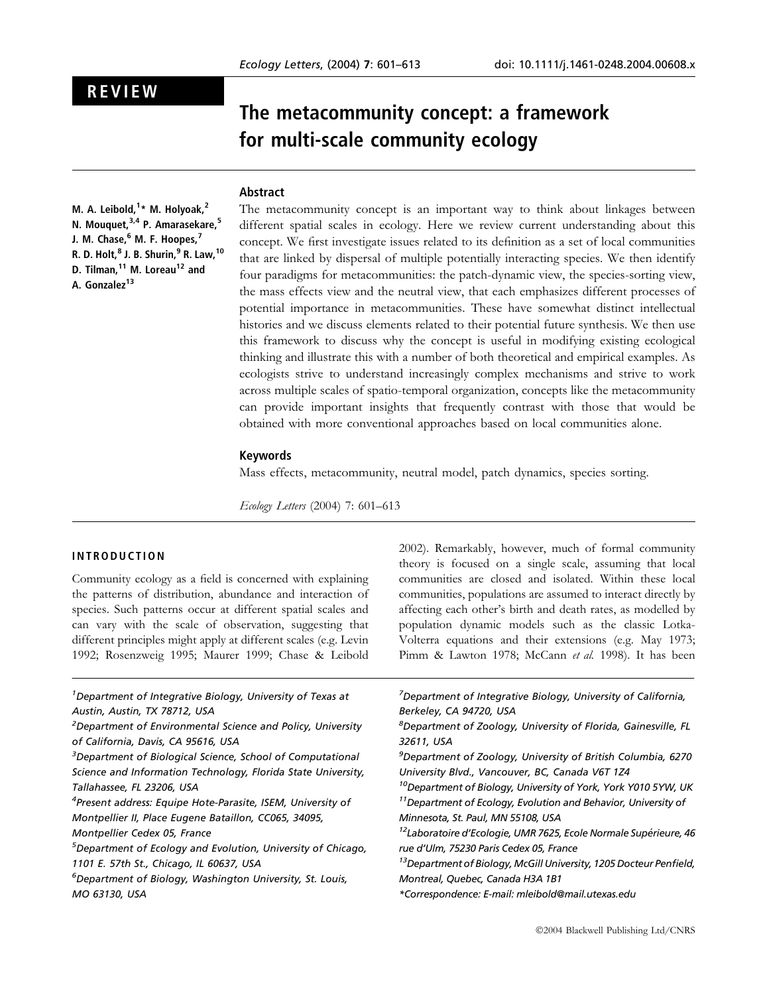# REVIEW

# The metacommunity concept: a framework for multi-scale community ecology

# Abstract

M. A. Leibold,<sup>1</sup>\* M. Holyoak,<sup>2</sup> N. Mouquet.<sup>3,4</sup> P. Amarasekare.<sup>5</sup> J. M. Chase,<sup>6</sup> M. F. Hoopes,<sup>7</sup> R. D. Holt, $^8$  J. B. Shurin, $^9$  R. Law, $^{10}$ D. Tilman, <sup>11</sup> M. Loreau<sup>12</sup> and A. Gonzalez<sup>13</sup>

The metacommunity concept is an important way to think about linkages between different spatial scales in ecology. Here we review current understanding about this concept. We first investigate issues related to its definition as a set of local communities that are linked by dispersal of multiple potentially interacting species. We then identify four paradigms for metacommunities: the patch-dynamic view, the species-sorting view, the mass effects view and the neutral view, that each emphasizes different processes of potential importance in metacommunities. These have somewhat distinct intellectual histories and we discuss elements related to their potential future synthesis. We then use this framework to discuss why the concept is useful in modifying existing ecological thinking and illustrate this with a number of both theoretical and empirical examples. As ecologists strive to understand increasingly complex mechanisms and strive to work across multiple scales of spatio-temporal organization, concepts like the metacommunity can provide important insights that frequently contrast with those that would be obtained with more conventional approaches based on local communities alone.

# Keywords

Mass effects, metacommunity, neutral model, patch dynamics, species sorting.

Ecology Letters (2004) 7: 601–613

# INTRODUCTION

Community ecology as a field is concerned with explaining the patterns of distribution, abundance and interaction of species. Such patterns occur at different spatial scales and can vary with the scale of observation, suggesting that different principles might apply at different scales (e.g. Levin 1992; Rosenzweig 1995; Maurer 1999; Chase & Leibold

<sup>1</sup>Department of Integrative Biology, University of Texas at Austin, Austin, TX 78712, USA

<sup>3</sup>Department of Biological Science, School of Computational Science and Information Technology, Florida State University, Tallahassee, FL 23206, USA

- Montpellier Cedex 05, France
- <sup>5</sup>Department of Ecology and Evolution, University of Chicago, 1101 E. 57th St., Chicago, IL 60637, USA
- 6 Department of Biology, Washington University, St. Louis, MO 63130, USA

2002). Remarkably, however, much of formal community theory is focused on a single scale, assuming that local communities are closed and isolated. Within these local communities, populations are assumed to interact directly by affecting each other's birth and death rates, as modelled by population dynamic models such as the classic Lotka-Volterra equations and their extensions (e.g. May 1973; Pimm & Lawton 1978; McCann et al. 1998). It has been

<sup>7</sup>Department of Integrative Biology, University of California, Berkeley, CA 94720, USA

<sup>8</sup>Department of Zoology, University of Florida, Gainesville, FL 32611, USA

9 Department of Zoology, University of British Columbia, 6270 University Blvd., Vancouver, BC, Canada V6T 1Z4

 $10$ Department of Biology, University of York, York Y010 5YW, UK  $11$ Department of Ecology, Evolution and Behavior, University of Minnesota, St. Paul, MN 55108, USA

<sup>12</sup>Laboratoire d'Ecologie, UMR 7625, Ecole Normale Supérieure, 46 rue d'Ulm, 75230 Paris Cedex 05, France

<sup>13</sup> Department of Biology, McGill University, 1205 Docteur Penfield, Montreal, Quebec, Canada H3A 1B1

\*Correspondence: E-mail: mleibold@mail.utexas.edu

<sup>&</sup>lt;sup>2</sup>Department of Environmental Science and Policy, University of California, Davis, CA 95616, USA

<sup>&</sup>lt;sup>4</sup> Present address: Equipe Hote-Parasite, ISEM, University of Montpellier II, Place Eugene Bataillon, CC065, 34095,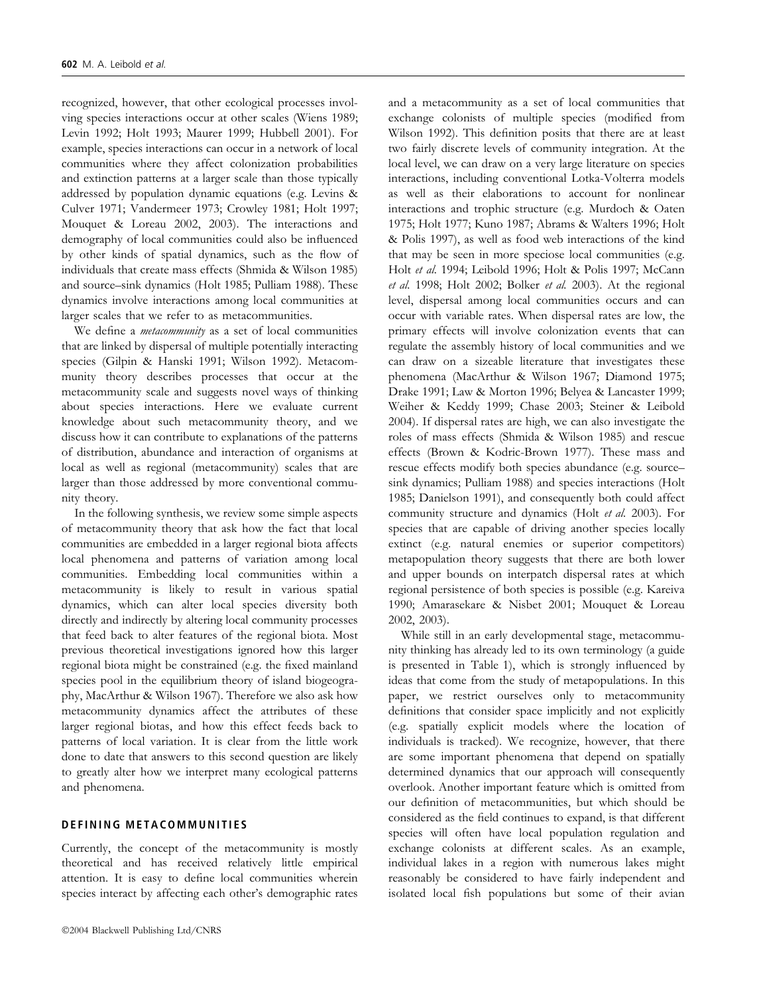recognized, however, that other ecological processes involving species interactions occur at other scales (Wiens 1989; Levin 1992; Holt 1993; Maurer 1999; Hubbell 2001). For example, species interactions can occur in a network of local communities where they affect colonization probabilities and extinction patterns at a larger scale than those typically addressed by population dynamic equations (e.g. Levins & Culver 1971; Vandermeer 1973; Crowley 1981; Holt 1997; Mouquet & Loreau 2002, 2003). The interactions and demography of local communities could also be influenced by other kinds of spatial dynamics, such as the flow of individuals that create mass effects (Shmida & Wilson 1985) and source–sink dynamics (Holt 1985; Pulliam 1988). These dynamics involve interactions among local communities at larger scales that we refer to as metacommunities.

We define a *metacommunity* as a set of local communities that are linked by dispersal of multiple potentially interacting species (Gilpin & Hanski 1991; Wilson 1992). Metacommunity theory describes processes that occur at the metacommunity scale and suggests novel ways of thinking about species interactions. Here we evaluate current knowledge about such metacommunity theory, and we discuss how it can contribute to explanations of the patterns of distribution, abundance and interaction of organisms at local as well as regional (metacommunity) scales that are larger than those addressed by more conventional community theory.

In the following synthesis, we review some simple aspects of metacommunity theory that ask how the fact that local communities are embedded in a larger regional biota affects local phenomena and patterns of variation among local communities. Embedding local communities within a metacommunity is likely to result in various spatial dynamics, which can alter local species diversity both directly and indirectly by altering local community processes that feed back to alter features of the regional biota. Most previous theoretical investigations ignored how this larger regional biota might be constrained (e.g. the fixed mainland species pool in the equilibrium theory of island biogeography, MacArthur & Wilson 1967). Therefore we also ask how metacommunity dynamics affect the attributes of these larger regional biotas, and how this effect feeds back to patterns of local variation. It is clear from the little work done to date that answers to this second question are likely to greatly alter how we interpret many ecological patterns and phenomena.

# DEFINING METACOMMUNITIES

Currently, the concept of the metacommunity is mostly theoretical and has received relatively little empirical attention. It is easy to define local communities wherein species interact by affecting each other's demographic rates and a metacommunity as a set of local communities that exchange colonists of multiple species (modified from Wilson 1992). This definition posits that there are at least two fairly discrete levels of community integration. At the local level, we can draw on a very large literature on species interactions, including conventional Lotka-Volterra models as well as their elaborations to account for nonlinear interactions and trophic structure (e.g. Murdoch & Oaten 1975; Holt 1977; Kuno 1987; Abrams & Walters 1996; Holt & Polis 1997), as well as food web interactions of the kind that may be seen in more speciose local communities (e.g. Holt et al. 1994; Leibold 1996; Holt & Polis 1997; McCann et al. 1998; Holt 2002; Bolker et al. 2003). At the regional level, dispersal among local communities occurs and can occur with variable rates. When dispersal rates are low, the primary effects will involve colonization events that can regulate the assembly history of local communities and we can draw on a sizeable literature that investigates these phenomena (MacArthur & Wilson 1967; Diamond 1975; Drake 1991; Law & Morton 1996; Belyea & Lancaster 1999; Weiher & Keddy 1999; Chase 2003; Steiner & Leibold 2004). If dispersal rates are high, we can also investigate the roles of mass effects (Shmida & Wilson 1985) and rescue effects (Brown & Kodric-Brown 1977). These mass and rescue effects modify both species abundance (e.g. source– sink dynamics; Pulliam 1988) and species interactions (Holt 1985; Danielson 1991), and consequently both could affect community structure and dynamics (Holt et al. 2003). For species that are capable of driving another species locally extinct (e.g. natural enemies or superior competitors) metapopulation theory suggests that there are both lower and upper bounds on interpatch dispersal rates at which regional persistence of both species is possible (e.g. Kareiva 1990; Amarasekare & Nisbet 2001; Mouquet & Loreau 2002, 2003).

While still in an early developmental stage, metacommunity thinking has already led to its own terminology (a guide is presented in Table 1), which is strongly influenced by ideas that come from the study of metapopulations. In this paper, we restrict ourselves only to metacommunity definitions that consider space implicitly and not explicitly (e.g. spatially explicit models where the location of individuals is tracked). We recognize, however, that there are some important phenomena that depend on spatially determined dynamics that our approach will consequently overlook. Another important feature which is omitted from our definition of metacommunities, but which should be considered as the field continues to expand, is that different species will often have local population regulation and exchange colonists at different scales. As an example, individual lakes in a region with numerous lakes might reasonably be considered to have fairly independent and isolated local fish populations but some of their avian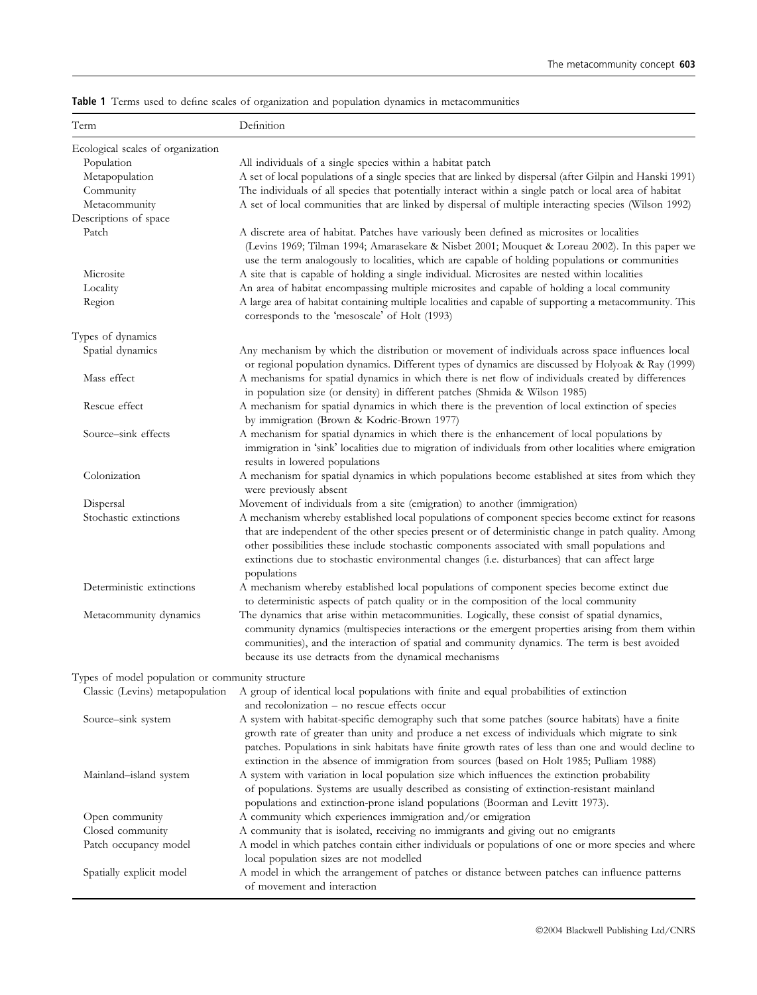| Term                                             | Definition                                                                                                                                                                                                                                                                                                                                                                                              |
|--------------------------------------------------|---------------------------------------------------------------------------------------------------------------------------------------------------------------------------------------------------------------------------------------------------------------------------------------------------------------------------------------------------------------------------------------------------------|
| Ecological scales of organization                |                                                                                                                                                                                                                                                                                                                                                                                                         |
| Population                                       | All individuals of a single species within a habitat patch                                                                                                                                                                                                                                                                                                                                              |
| Metapopulation                                   | A set of local populations of a single species that are linked by dispersal (after Gilpin and Hanski 1991)                                                                                                                                                                                                                                                                                              |
| Community                                        | The individuals of all species that potentially interact within a single patch or local area of habitat                                                                                                                                                                                                                                                                                                 |
| Metacommunity                                    | A set of local communities that are linked by dispersal of multiple interacting species (Wilson 1992)                                                                                                                                                                                                                                                                                                   |
|                                                  |                                                                                                                                                                                                                                                                                                                                                                                                         |
| Descriptions of space                            |                                                                                                                                                                                                                                                                                                                                                                                                         |
| Patch                                            | A discrete area of habitat. Patches have variously been defined as microsites or localities<br>(Levins 1969; Tilman 1994; Amarasekare & Nisbet 2001; Mouquet & Loreau 2002). In this paper we<br>use the term analogously to localities, which are capable of holding populations or communities                                                                                                        |
| Microsite                                        | A site that is capable of holding a single individual. Microsites are nested within localities                                                                                                                                                                                                                                                                                                          |
| Locality                                         | An area of habitat encompassing multiple microsites and capable of holding a local community                                                                                                                                                                                                                                                                                                            |
| Region                                           | A large area of habitat containing multiple localities and capable of supporting a metacommunity. This<br>corresponds to the 'mesoscale' of Holt (1993)                                                                                                                                                                                                                                                 |
| Types of dynamics                                |                                                                                                                                                                                                                                                                                                                                                                                                         |
| Spatial dynamics                                 | Any mechanism by which the distribution or movement of individuals across space influences local<br>or regional population dynamics. Different types of dynamics are discussed by Holyoak & Ray (1999)                                                                                                                                                                                                  |
| Mass effect                                      | A mechanisms for spatial dynamics in which there is net flow of individuals created by differences<br>in population size (or density) in different patches (Shmida & Wilson 1985)                                                                                                                                                                                                                       |
| Rescue effect                                    | A mechanism for spatial dynamics in which there is the prevention of local extinction of species<br>by immigration (Brown & Kodric-Brown 1977)                                                                                                                                                                                                                                                          |
| Source-sink effects                              | A mechanism for spatial dynamics in which there is the enhancement of local populations by                                                                                                                                                                                                                                                                                                              |
|                                                  | immigration in 'sink' localities due to migration of individuals from other localities where emigration<br>results in lowered populations                                                                                                                                                                                                                                                               |
| Colonization                                     | A mechanism for spatial dynamics in which populations become established at sites from which they<br>were previously absent                                                                                                                                                                                                                                                                             |
| Dispersal                                        | Movement of individuals from a site (emigration) to another (immigration)                                                                                                                                                                                                                                                                                                                               |
| Stochastic extinctions                           | A mechanism whereby established local populations of component species become extinct for reasons<br>that are independent of the other species present or of deterministic change in patch quality. Among<br>other possibilities these include stochastic components associated with small populations and                                                                                              |
|                                                  | extinctions due to stochastic environmental changes (i.e. disturbances) that can affect large<br>populations                                                                                                                                                                                                                                                                                            |
| Deterministic extinctions                        | A mechanism whereby established local populations of component species become extinct due<br>to deterministic aspects of patch quality or in the composition of the local community                                                                                                                                                                                                                     |
| Metacommunity dynamics                           | The dynamics that arise within metacommunities. Logically, these consist of spatial dynamics,<br>community dynamics (multispecies interactions or the emergent properties arising from them within                                                                                                                                                                                                      |
|                                                  | communities), and the interaction of spatial and community dynamics. The term is best avoided<br>because its use detracts from the dynamical mechanisms                                                                                                                                                                                                                                                 |
| Types of model population or community structure |                                                                                                                                                                                                                                                                                                                                                                                                         |
|                                                  | Classic (Levins) metapopulation A group of identical local populations with finite and equal probabilities of extinction<br>and recolonization - no rescue effects occur                                                                                                                                                                                                                                |
| Source–sink system                               | A system with habitat-specific demography such that some patches (source habitats) have a finite<br>growth rate of greater than unity and produce a net excess of individuals which migrate to sink<br>patches. Populations in sink habitats have finite growth rates of less than one and would decline to<br>extinction in the absence of immigration from sources (based on Holt 1985; Pulliam 1988) |
| Mainland-island system                           | A system with variation in local population size which influences the extinction probability<br>of populations. Systems are usually described as consisting of extinction-resistant mainland<br>populations and extinction-prone island populations (Boorman and Levitt 1973).                                                                                                                          |
| Open community                                   | A community which experiences immigration and/or emigration                                                                                                                                                                                                                                                                                                                                             |
| Closed community                                 | A community that is isolated, receiving no immigrants and giving out no emigrants                                                                                                                                                                                                                                                                                                                       |
| Patch occupancy model                            | A model in which patches contain either individuals or populations of one or more species and where<br>local population sizes are not modelled                                                                                                                                                                                                                                                          |
| Spatially explicit model                         | A model in which the arrangement of patches or distance between patches can influence patterns<br>of movement and interaction                                                                                                                                                                                                                                                                           |

Table 1 Terms used to define scales of organization and population dynamics in metacommunities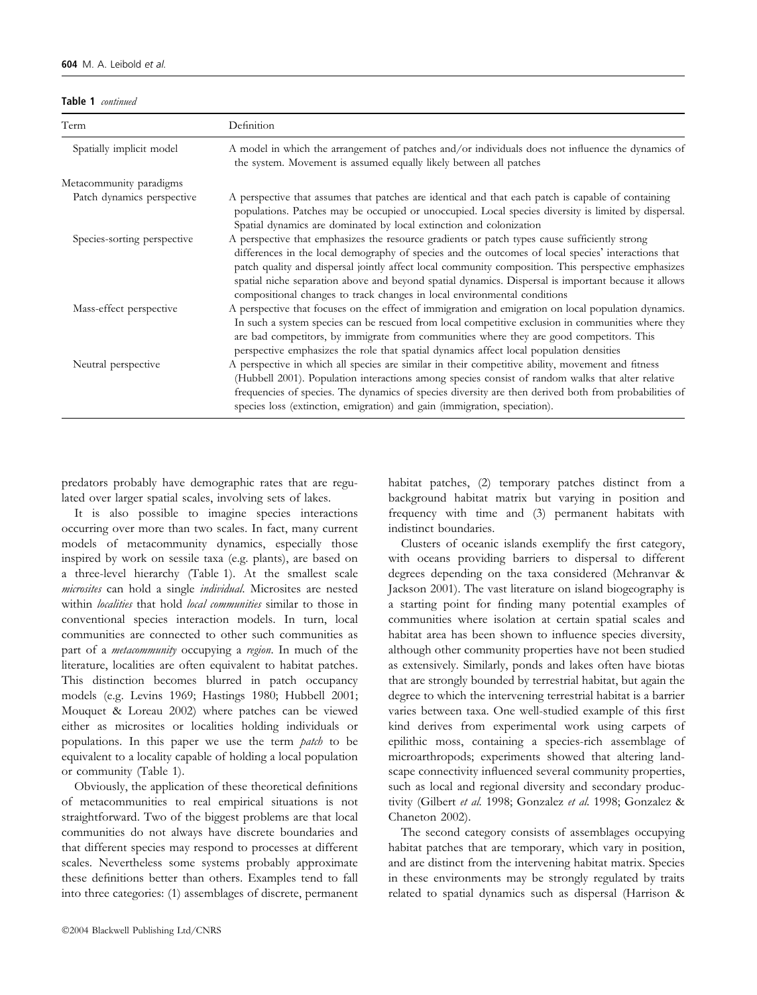$Table 1$  continued

| $1$ abic I <i>comuned</i>   |                                                                                                                                                                                                                                                                                                                                                                                                                                                                                                 |  |
|-----------------------------|-------------------------------------------------------------------------------------------------------------------------------------------------------------------------------------------------------------------------------------------------------------------------------------------------------------------------------------------------------------------------------------------------------------------------------------------------------------------------------------------------|--|
| Term                        | Definition                                                                                                                                                                                                                                                                                                                                                                                                                                                                                      |  |
| Spatially implicit model    | A model in which the arrangement of patches and/or individuals does not influence the dynamics of<br>the system. Movement is assumed equally likely between all patches                                                                                                                                                                                                                                                                                                                         |  |
| Metacommunity paradigms     |                                                                                                                                                                                                                                                                                                                                                                                                                                                                                                 |  |
| Patch dynamics perspective  | A perspective that assumes that patches are identical and that each patch is capable of containing<br>populations. Patches may be occupied or unoccupied. Local species diversity is limited by dispersal.<br>Spatial dynamics are dominated by local extinction and colonization                                                                                                                                                                                                               |  |
| Species-sorting perspective | A perspective that emphasizes the resource gradients or patch types cause sufficiently strong<br>differences in the local demography of species and the outcomes of local species' interactions that<br>patch quality and dispersal jointly affect local community composition. This perspective emphasizes<br>spatial niche separation above and beyond spatial dynamics. Dispersal is important because it allows<br>compositional changes to track changes in local environmental conditions |  |
| Mass-effect perspective     | A perspective that focuses on the effect of immigration and emigration on local population dynamics.<br>In such a system species can be rescued from local competitive exclusion in communities where they<br>are bad competitors, by immigrate from communities where they are good competitors. This<br>perspective emphasizes the role that spatial dynamics affect local population densities                                                                                               |  |
| Neutral perspective         | A perspective in which all species are similar in their competitive ability, movement and fitness<br>(Hubbell 2001). Population interactions among species consist of random walks that alter relative<br>frequencies of species. The dynamics of species diversity are then derived both from probabilities of<br>species loss (extinction, emigration) and gain (immigration, speciation).                                                                                                    |  |

predators probably have demographic rates that are regulated over larger spatial scales, involving sets of lakes.

It is also possible to imagine species interactions occurring over more than two scales. In fact, many current models of metacommunity dynamics, especially those inspired by work on sessile taxa (e.g. plants), are based on a three-level hierarchy (Table 1). At the smallest scale microsites can hold a single *individual*. Microsites are nested within *localities* that hold *local communities* similar to those in conventional species interaction models. In turn, local communities are connected to other such communities as part of a metacommunity occupying a region. In much of the literature, localities are often equivalent to habitat patches. This distinction becomes blurred in patch occupancy models (e.g. Levins 1969; Hastings 1980; Hubbell 2001; Mouquet & Loreau 2002) where patches can be viewed either as microsites or localities holding individuals or populations. In this paper we use the term patch to be equivalent to a locality capable of holding a local population or community (Table 1).

Obviously, the application of these theoretical definitions of metacommunities to real empirical situations is not straightforward. Two of the biggest problems are that local communities do not always have discrete boundaries and that different species may respond to processes at different scales. Nevertheless some systems probably approximate these definitions better than others. Examples tend to fall into three categories: (1) assemblages of discrete, permanent

2004 Blackwell Publishing Ltd/CNRS

habitat patches, (2) temporary patches distinct from a background habitat matrix but varying in position and frequency with time and (3) permanent habitats with indistinct boundaries.

Clusters of oceanic islands exemplify the first category, with oceans providing barriers to dispersal to different degrees depending on the taxa considered (Mehranvar & Jackson 2001). The vast literature on island biogeography is a starting point for finding many potential examples of communities where isolation at certain spatial scales and habitat area has been shown to influence species diversity, although other community properties have not been studied as extensively. Similarly, ponds and lakes often have biotas that are strongly bounded by terrestrial habitat, but again the degree to which the intervening terrestrial habitat is a barrier varies between taxa. One well-studied example of this first kind derives from experimental work using carpets of epilithic moss, containing a species-rich assemblage of microarthropods; experiments showed that altering landscape connectivity influenced several community properties, such as local and regional diversity and secondary productivity (Gilbert et al. 1998; Gonzalez et al. 1998; Gonzalez & Chaneton 2002).

The second category consists of assemblages occupying habitat patches that are temporary, which vary in position, and are distinct from the intervening habitat matrix. Species in these environments may be strongly regulated by traits related to spatial dynamics such as dispersal (Harrison &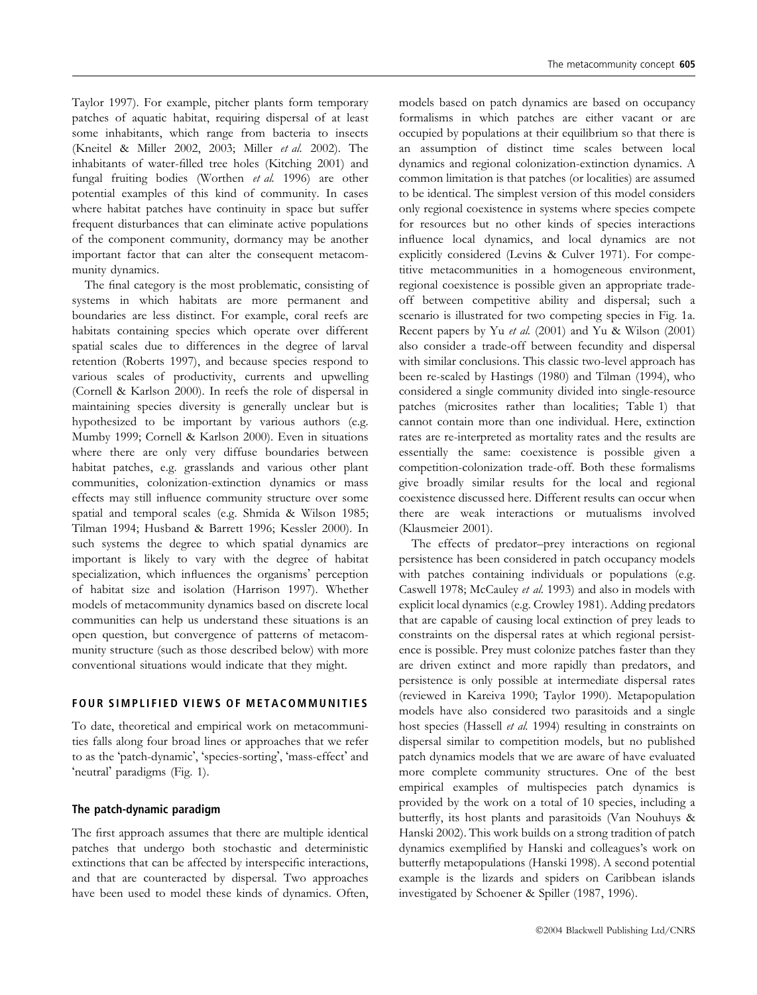Taylor 1997). For example, pitcher plants form temporary patches of aquatic habitat, requiring dispersal of at least some inhabitants, which range from bacteria to insects (Kneitel & Miller 2002, 2003; Miller et al. 2002). The inhabitants of water-filled tree holes (Kitching 2001) and fungal fruiting bodies (Worthen et al. 1996) are other potential examples of this kind of community. In cases where habitat patches have continuity in space but suffer frequent disturbances that can eliminate active populations of the component community, dormancy may be another important factor that can alter the consequent metacommunity dynamics.

The final category is the most problematic, consisting of systems in which habitats are more permanent and boundaries are less distinct. For example, coral reefs are habitats containing species which operate over different spatial scales due to differences in the degree of larval retention (Roberts 1997), and because species respond to various scales of productivity, currents and upwelling (Cornell & Karlson 2000). In reefs the role of dispersal in maintaining species diversity is generally unclear but is hypothesized to be important by various authors (e.g. Mumby 1999; Cornell & Karlson 2000). Even in situations where there are only very diffuse boundaries between habitat patches, e.g. grasslands and various other plant communities, colonization-extinction dynamics or mass effects may still influence community structure over some spatial and temporal scales (e.g. Shmida & Wilson 1985; Tilman 1994; Husband & Barrett 1996; Kessler 2000). In such systems the degree to which spatial dynamics are important is likely to vary with the degree of habitat specialization, which influences the organisms' perception of habitat size and isolation (Harrison 1997). Whether models of metacommunity dynamics based on discrete local communities can help us understand these situations is an open question, but convergence of patterns of metacommunity structure (such as those described below) with more conventional situations would indicate that they might.

# FOUR SIMPLIFIED VIEWS OF METACOMMUNITIES

To date, theoretical and empirical work on metacommunities falls along four broad lines or approaches that we refer to as the 'patch-dynamic', 'species-sorting', 'mass-effect' and 'neutral' paradigms (Fig. 1).

# The patch-dynamic paradigm

The first approach assumes that there are multiple identical patches that undergo both stochastic and deterministic extinctions that can be affected by interspecific interactions, and that are counteracted by dispersal. Two approaches have been used to model these kinds of dynamics. Often, models based on patch dynamics are based on occupancy formalisms in which patches are either vacant or are occupied by populations at their equilibrium so that there is an assumption of distinct time scales between local dynamics and regional colonization-extinction dynamics. A common limitation is that patches (or localities) are assumed to be identical. The simplest version of this model considers only regional coexistence in systems where species compete for resources but no other kinds of species interactions influence local dynamics, and local dynamics are not explicitly considered (Levins & Culver 1971). For competitive metacommunities in a homogeneous environment, regional coexistence is possible given an appropriate tradeoff between competitive ability and dispersal; such a scenario is illustrated for two competing species in Fig. 1a. Recent papers by Yu et al. (2001) and Yu & Wilson (2001) also consider a trade-off between fecundity and dispersal with similar conclusions. This classic two-level approach has been re-scaled by Hastings (1980) and Tilman (1994), who considered a single community divided into single-resource patches (microsites rather than localities; Table 1) that cannot contain more than one individual. Here, extinction rates are re-interpreted as mortality rates and the results are essentially the same: coexistence is possible given a competition-colonization trade-off. Both these formalisms give broadly similar results for the local and regional coexistence discussed here. Different results can occur when there are weak interactions or mutualisms involved (Klausmeier 2001).

The effects of predator–prey interactions on regional persistence has been considered in patch occupancy models with patches containing individuals or populations (e.g. Caswell 1978; McCauley et al. 1993) and also in models with explicit local dynamics (e.g. Crowley 1981). Adding predators that are capable of causing local extinction of prey leads to constraints on the dispersal rates at which regional persistence is possible. Prey must colonize patches faster than they are driven extinct and more rapidly than predators, and persistence is only possible at intermediate dispersal rates (reviewed in Kareiva 1990; Taylor 1990). Metapopulation models have also considered two parasitoids and a single host species (Hassell et al. 1994) resulting in constraints on dispersal similar to competition models, but no published patch dynamics models that we are aware of have evaluated more complete community structures. One of the best empirical examples of multispecies patch dynamics is provided by the work on a total of 10 species, including a butterfly, its host plants and parasitoids (Van Nouhuys & Hanski 2002). This work builds on a strong tradition of patch dynamics exemplified by Hanski and colleagues's work on butterfly metapopulations (Hanski 1998). A second potential example is the lizards and spiders on Caribbean islands investigated by Schoener & Spiller (1987, 1996).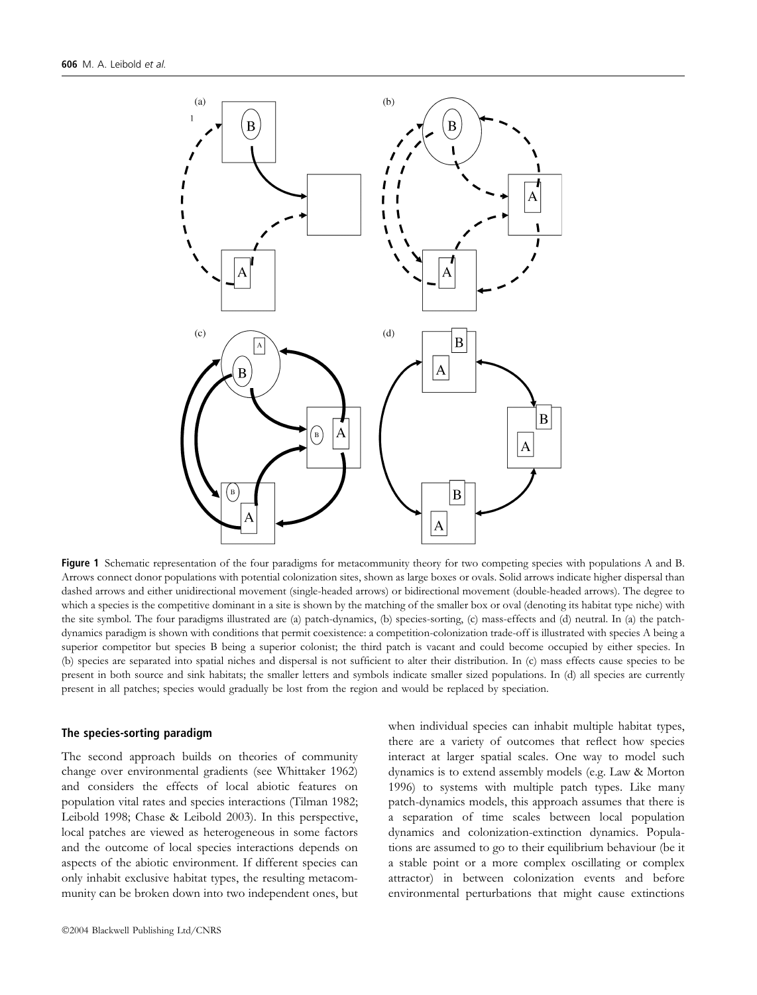

Figure 1 Schematic representation of the four paradigms for metacommunity theory for two competing species with populations A and B. Arrows connect donor populations with potential colonization sites, shown as large boxes or ovals. Solid arrows indicate higher dispersal than dashed arrows and either unidirectional movement (single-headed arrows) or bidirectional movement (double-headed arrows). The degree to which a species is the competitive dominant in a site is shown by the matching of the smaller box or oval (denoting its habitat type niche) with the site symbol. The four paradigms illustrated are (a) patch-dynamics, (b) species-sorting, (c) mass-effects and (d) neutral. In (a) the patchdynamics paradigm is shown with conditions that permit coexistence: a competition-colonization trade-off is illustrated with species A being a superior competitor but species B being a superior colonist; the third patch is vacant and could become occupied by either species. In (b) species are separated into spatial niches and dispersal is not sufficient to alter their distribution. In (c) mass effects cause species to be present in both source and sink habitats; the smaller letters and symbols indicate smaller sized populations. In (d) all species are currently present in all patches; species would gradually be lost from the region and would be replaced by speciation.

#### The species-sorting paradigm

The second approach builds on theories of community change over environmental gradients (see Whittaker 1962) and considers the effects of local abiotic features on population vital rates and species interactions (Tilman 1982; Leibold 1998; Chase & Leibold 2003). In this perspective, local patches are viewed as heterogeneous in some factors and the outcome of local species interactions depends on aspects of the abiotic environment. If different species can only inhabit exclusive habitat types, the resulting metacommunity can be broken down into two independent ones, but when individual species can inhabit multiple habitat types, there are a variety of outcomes that reflect how species interact at larger spatial scales. One way to model such dynamics is to extend assembly models (e.g. Law & Morton 1996) to systems with multiple patch types. Like many patch-dynamics models, this approach assumes that there is a separation of time scales between local population dynamics and colonization-extinction dynamics. Populations are assumed to go to their equilibrium behaviour (be it a stable point or a more complex oscillating or complex attractor) in between colonization events and before environmental perturbations that might cause extinctions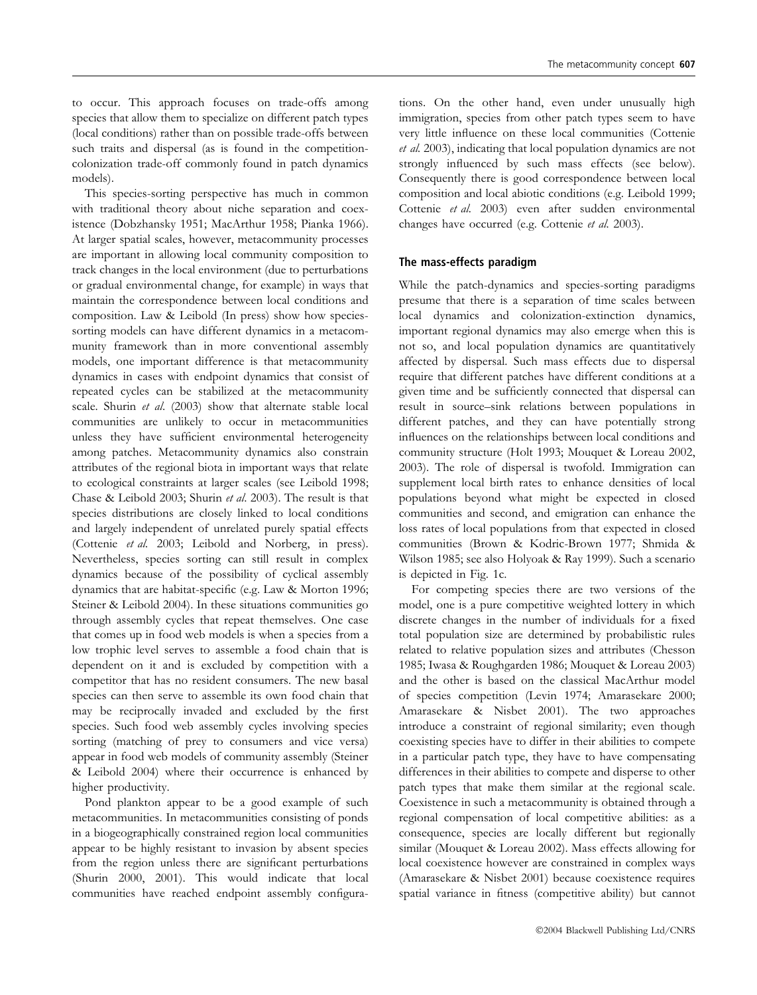to occur. This approach focuses on trade-offs among species that allow them to specialize on different patch types (local conditions) rather than on possible trade-offs between such traits and dispersal (as is found in the competitioncolonization trade-off commonly found in patch dynamics models).

This species-sorting perspective has much in common with traditional theory about niche separation and coexistence (Dobzhansky 1951; MacArthur 1958; Pianka 1966). At larger spatial scales, however, metacommunity processes are important in allowing local community composition to track changes in the local environment (due to perturbations or gradual environmental change, for example) in ways that maintain the correspondence between local conditions and composition. Law & Leibold (In press) show how speciessorting models can have different dynamics in a metacommunity framework than in more conventional assembly models, one important difference is that metacommunity dynamics in cases with endpoint dynamics that consist of repeated cycles can be stabilized at the metacommunity scale. Shurin et al. (2003) show that alternate stable local communities are unlikely to occur in metacommunities unless they have sufficient environmental heterogeneity among patches. Metacommunity dynamics also constrain attributes of the regional biota in important ways that relate to ecological constraints at larger scales (see Leibold 1998; Chase & Leibold 2003; Shurin et al. 2003). The result is that species distributions are closely linked to local conditions and largely independent of unrelated purely spatial effects (Cottenie et al. 2003; Leibold and Norberg, in press). Nevertheless, species sorting can still result in complex dynamics because of the possibility of cyclical assembly dynamics that are habitat-specific (e.g. Law & Morton 1996; Steiner & Leibold 2004). In these situations communities go through assembly cycles that repeat themselves. One case that comes up in food web models is when a species from a low trophic level serves to assemble a food chain that is dependent on it and is excluded by competition with a competitor that has no resident consumers. The new basal species can then serve to assemble its own food chain that may be reciprocally invaded and excluded by the first species. Such food web assembly cycles involving species sorting (matching of prey to consumers and vice versa) appear in food web models of community assembly (Steiner & Leibold 2004) where their occurrence is enhanced by higher productivity.

Pond plankton appear to be a good example of such metacommunities. In metacommunities consisting of ponds in a biogeographically constrained region local communities appear to be highly resistant to invasion by absent species from the region unless there are significant perturbations (Shurin 2000, 2001). This would indicate that local communities have reached endpoint assembly configura-

tions. On the other hand, even under unusually high immigration, species from other patch types seem to have very little influence on these local communities (Cottenie et al. 2003), indicating that local population dynamics are not strongly influenced by such mass effects (see below). Consequently there is good correspondence between local composition and local abiotic conditions (e.g. Leibold 1999; Cottenie et al. 2003) even after sudden environmental changes have occurred (e.g. Cottenie et al. 2003).

# The mass-effects paradigm

While the patch-dynamics and species-sorting paradigms presume that there is a separation of time scales between local dynamics and colonization-extinction dynamics, important regional dynamics may also emerge when this is not so, and local population dynamics are quantitatively affected by dispersal. Such mass effects due to dispersal require that different patches have different conditions at a given time and be sufficiently connected that dispersal can result in source–sink relations between populations in different patches, and they can have potentially strong influences on the relationships between local conditions and community structure (Holt 1993; Mouquet & Loreau 2002, 2003). The role of dispersal is twofold. Immigration can supplement local birth rates to enhance densities of local populations beyond what might be expected in closed communities and second, and emigration can enhance the loss rates of local populations from that expected in closed communities (Brown & Kodric-Brown 1977; Shmida & Wilson 1985; see also Holyoak & Ray 1999). Such a scenario is depicted in Fig. 1c.

For competing species there are two versions of the model, one is a pure competitive weighted lottery in which discrete changes in the number of individuals for a fixed total population size are determined by probabilistic rules related to relative population sizes and attributes (Chesson 1985; Iwasa & Roughgarden 1986; Mouquet & Loreau 2003) and the other is based on the classical MacArthur model of species competition (Levin 1974; Amarasekare 2000; Amarasekare & Nisbet 2001). The two approaches introduce a constraint of regional similarity; even though coexisting species have to differ in their abilities to compete in a particular patch type, they have to have compensating differences in their abilities to compete and disperse to other patch types that make them similar at the regional scale. Coexistence in such a metacommunity is obtained through a regional compensation of local competitive abilities: as a consequence, species are locally different but regionally similar (Mouquet & Loreau 2002). Mass effects allowing for local coexistence however are constrained in complex ways (Amarasekare & Nisbet 2001) because coexistence requires spatial variance in fitness (competitive ability) but cannot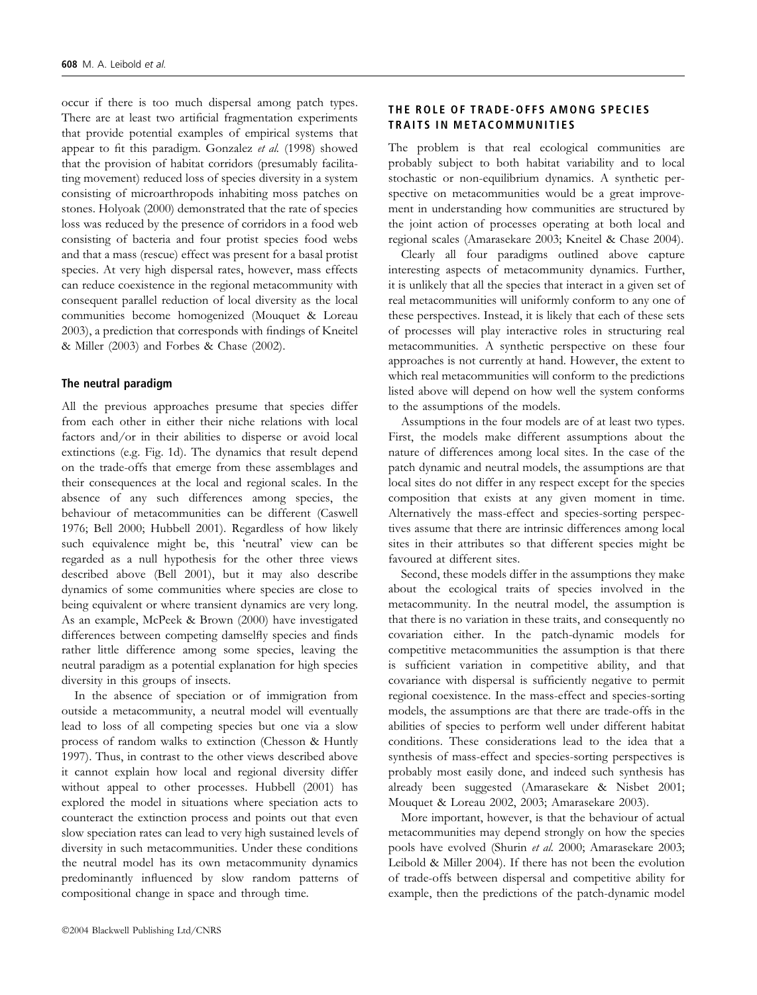occur if there is too much dispersal among patch types. There are at least two artificial fragmentation experiments that provide potential examples of empirical systems that appear to fit this paradigm. Gonzalez et al. (1998) showed that the provision of habitat corridors (presumably facilitating movement) reduced loss of species diversity in a system consisting of microarthropods inhabiting moss patches on stones. Holyoak (2000) demonstrated that the rate of species loss was reduced by the presence of corridors in a food web consisting of bacteria and four protist species food webs and that a mass (rescue) effect was present for a basal protist species. At very high dispersal rates, however, mass effects can reduce coexistence in the regional metacommunity with consequent parallel reduction of local diversity as the local communities become homogenized (Mouquet & Loreau 2003), a prediction that corresponds with findings of Kneitel & Miller (2003) and Forbes & Chase (2002).

### The neutral paradigm

All the previous approaches presume that species differ from each other in either their niche relations with local factors and/or in their abilities to disperse or avoid local extinctions (e.g. Fig. 1d). The dynamics that result depend on the trade-offs that emerge from these assemblages and their consequences at the local and regional scales. In the absence of any such differences among species, the behaviour of metacommunities can be different (Caswell 1976; Bell 2000; Hubbell 2001). Regardless of how likely such equivalence might be, this 'neutral' view can be regarded as a null hypothesis for the other three views described above (Bell 2001), but it may also describe dynamics of some communities where species are close to being equivalent or where transient dynamics are very long. As an example, McPeek & Brown (2000) have investigated differences between competing damselfly species and finds rather little difference among some species, leaving the neutral paradigm as a potential explanation for high species diversity in this groups of insects.

In the absence of speciation or of immigration from outside a metacommunity, a neutral model will eventually lead to loss of all competing species but one via a slow process of random walks to extinction (Chesson & Huntly 1997). Thus, in contrast to the other views described above it cannot explain how local and regional diversity differ without appeal to other processes. Hubbell (2001) has explored the model in situations where speciation acts to counteract the extinction process and points out that even slow speciation rates can lead to very high sustained levels of diversity in such metacommunities. Under these conditions the neutral model has its own metacommunity dynamics predominantly influenced by slow random patterns of compositional change in space and through time.

# THE ROLE OF TRADE-OFFS AMONG SPECIES TRAITS IN METACOMMUNITIES

The problem is that real ecological communities are probably subject to both habitat variability and to local stochastic or non-equilibrium dynamics. A synthetic perspective on metacommunities would be a great improvement in understanding how communities are structured by the joint action of processes operating at both local and regional scales (Amarasekare 2003; Kneitel & Chase 2004).

Clearly all four paradigms outlined above capture interesting aspects of metacommunity dynamics. Further, it is unlikely that all the species that interact in a given set of real metacommunities will uniformly conform to any one of these perspectives. Instead, it is likely that each of these sets of processes will play interactive roles in structuring real metacommunities. A synthetic perspective on these four approaches is not currently at hand. However, the extent to which real metacommunities will conform to the predictions listed above will depend on how well the system conforms to the assumptions of the models.

Assumptions in the four models are of at least two types. First, the models make different assumptions about the nature of differences among local sites. In the case of the patch dynamic and neutral models, the assumptions are that local sites do not differ in any respect except for the species composition that exists at any given moment in time. Alternatively the mass-effect and species-sorting perspectives assume that there are intrinsic differences among local sites in their attributes so that different species might be favoured at different sites.

Second, these models differ in the assumptions they make about the ecological traits of species involved in the metacommunity. In the neutral model, the assumption is that there is no variation in these traits, and consequently no covariation either. In the patch-dynamic models for competitive metacommunities the assumption is that there is sufficient variation in competitive ability, and that covariance with dispersal is sufficiently negative to permit regional coexistence. In the mass-effect and species-sorting models, the assumptions are that there are trade-offs in the abilities of species to perform well under different habitat conditions. These considerations lead to the idea that a synthesis of mass-effect and species-sorting perspectives is probably most easily done, and indeed such synthesis has already been suggested (Amarasekare & Nisbet 2001; Mouquet & Loreau 2002, 2003; Amarasekare 2003).

More important, however, is that the behaviour of actual metacommunities may depend strongly on how the species pools have evolved (Shurin et al. 2000; Amarasekare 2003; Leibold & Miller 2004). If there has not been the evolution of trade-offs between dispersal and competitive ability for example, then the predictions of the patch-dynamic model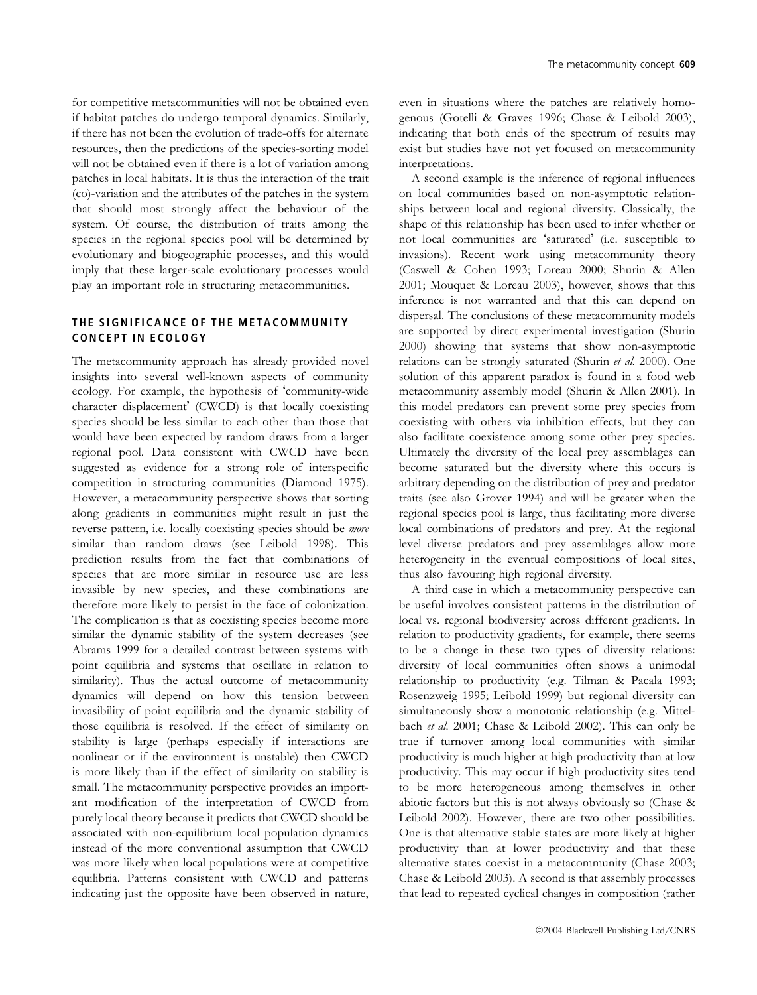for competitive metacommunities will not be obtained even if habitat patches do undergo temporal dynamics. Similarly, if there has not been the evolution of trade-offs for alternate resources, then the predictions of the species-sorting model will not be obtained even if there is a lot of variation among patches in local habitats. It is thus the interaction of the trait (co)-variation and the attributes of the patches in the system that should most strongly affect the behaviour of the system. Of course, the distribution of traits among the species in the regional species pool will be determined by evolutionary and biogeographic processes, and this would imply that these larger-scale evolutionary processes would play an important role in structuring metacommunities.

# THE SIGNIFICANCE OF THE METACOMMUNITY CONCEPT IN ECOLOGY

The metacommunity approach has already provided novel insights into several well-known aspects of community ecology. For example, the hypothesis of 'community-wide character displacement' (CWCD) is that locally coexisting species should be less similar to each other than those that would have been expected by random draws from a larger regional pool. Data consistent with CWCD have been suggested as evidence for a strong role of interspecific competition in structuring communities (Diamond 1975). However, a metacommunity perspective shows that sorting along gradients in communities might result in just the reverse pattern, i.e. locally coexisting species should be more similar than random draws (see Leibold 1998). This prediction results from the fact that combinations of species that are more similar in resource use are less invasible by new species, and these combinations are therefore more likely to persist in the face of colonization. The complication is that as coexisting species become more similar the dynamic stability of the system decreases (see Abrams 1999 for a detailed contrast between systems with point equilibria and systems that oscillate in relation to similarity). Thus the actual outcome of metacommunity dynamics will depend on how this tension between invasibility of point equilibria and the dynamic stability of those equilibria is resolved. If the effect of similarity on stability is large (perhaps especially if interactions are nonlinear or if the environment is unstable) then CWCD is more likely than if the effect of similarity on stability is small. The metacommunity perspective provides an important modification of the interpretation of CWCD from purely local theory because it predicts that CWCD should be associated with non-equilibrium local population dynamics instead of the more conventional assumption that CWCD was more likely when local populations were at competitive equilibria. Patterns consistent with CWCD and patterns indicating just the opposite have been observed in nature, even in situations where the patches are relatively homogenous (Gotelli & Graves 1996; Chase & Leibold 2003), indicating that both ends of the spectrum of results may exist but studies have not yet focused on metacommunity interpretations.

A second example is the inference of regional influences on local communities based on non-asymptotic relationships between local and regional diversity. Classically, the shape of this relationship has been used to infer whether or not local communities are 'saturated' (i.e. susceptible to invasions). Recent work using metacommunity theory (Caswell & Cohen 1993; Loreau 2000; Shurin & Allen 2001; Mouquet & Loreau 2003), however, shows that this inference is not warranted and that this can depend on dispersal. The conclusions of these metacommunity models are supported by direct experimental investigation (Shurin 2000) showing that systems that show non-asymptotic relations can be strongly saturated (Shurin et al. 2000). One solution of this apparent paradox is found in a food web metacommunity assembly model (Shurin & Allen 2001). In this model predators can prevent some prey species from coexisting with others via inhibition effects, but they can also facilitate coexistence among some other prey species. Ultimately the diversity of the local prey assemblages can become saturated but the diversity where this occurs is arbitrary depending on the distribution of prey and predator traits (see also Grover 1994) and will be greater when the regional species pool is large, thus facilitating more diverse local combinations of predators and prey. At the regional level diverse predators and prey assemblages allow more heterogeneity in the eventual compositions of local sites, thus also favouring high regional diversity.

A third case in which a metacommunity perspective can be useful involves consistent patterns in the distribution of local vs. regional biodiversity across different gradients. In relation to productivity gradients, for example, there seems to be a change in these two types of diversity relations: diversity of local communities often shows a unimodal relationship to productivity (e.g. Tilman & Pacala 1993; Rosenzweig 1995; Leibold 1999) but regional diversity can simultaneously show a monotonic relationship (e.g. Mittelbach et al. 2001; Chase & Leibold 2002). This can only be true if turnover among local communities with similar productivity is much higher at high productivity than at low productivity. This may occur if high productivity sites tend to be more heterogeneous among themselves in other abiotic factors but this is not always obviously so (Chase & Leibold 2002). However, there are two other possibilities. One is that alternative stable states are more likely at higher productivity than at lower productivity and that these alternative states coexist in a metacommunity (Chase 2003; Chase & Leibold 2003). A second is that assembly processes that lead to repeated cyclical changes in composition (rather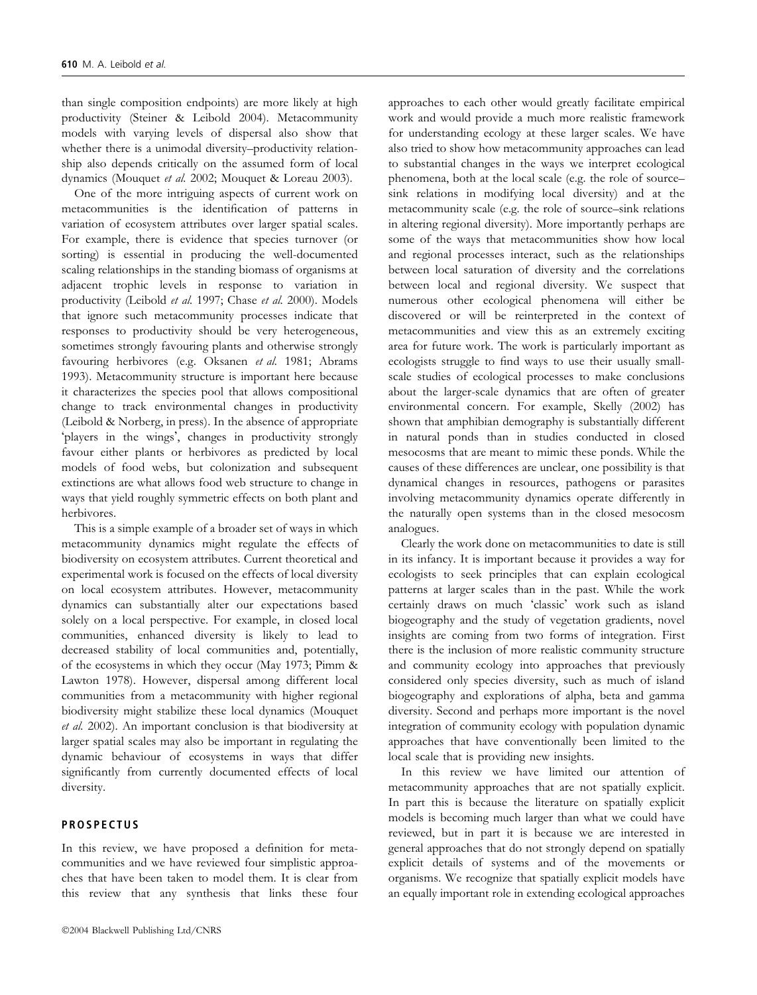than single composition endpoints) are more likely at high productivity (Steiner & Leibold 2004). Metacommunity models with varying levels of dispersal also show that whether there is a unimodal diversity–productivity relationship also depends critically on the assumed form of local dynamics (Mouquet et al. 2002; Mouquet & Loreau 2003).

One of the more intriguing aspects of current work on metacommunities is the identification of patterns in variation of ecosystem attributes over larger spatial scales. For example, there is evidence that species turnover (or sorting) is essential in producing the well-documented scaling relationships in the standing biomass of organisms at adjacent trophic levels in response to variation in productivity (Leibold et al. 1997; Chase et al. 2000). Models that ignore such metacommunity processes indicate that responses to productivity should be very heterogeneous, sometimes strongly favouring plants and otherwise strongly favouring herbivores (e.g. Oksanen et al. 1981; Abrams 1993). Metacommunity structure is important here because it characterizes the species pool that allows compositional change to track environmental changes in productivity (Leibold & Norberg, in press). In the absence of appropriate 'players in the wings', changes in productivity strongly favour either plants or herbivores as predicted by local models of food webs, but colonization and subsequent extinctions are what allows food web structure to change in ways that yield roughly symmetric effects on both plant and herbivores.

This is a simple example of a broader set of ways in which metacommunity dynamics might regulate the effects of biodiversity on ecosystem attributes. Current theoretical and experimental work is focused on the effects of local diversity on local ecosystem attributes. However, metacommunity dynamics can substantially alter our expectations based solely on a local perspective. For example, in closed local communities, enhanced diversity is likely to lead to decreased stability of local communities and, potentially, of the ecosystems in which they occur (May 1973; Pimm & Lawton 1978). However, dispersal among different local communities from a metacommunity with higher regional biodiversity might stabilize these local dynamics (Mouquet et al. 2002). An important conclusion is that biodiversity at larger spatial scales may also be important in regulating the dynamic behaviour of ecosystems in ways that differ significantly from currently documented effects of local diversity.

# **PROSPECTUS**

In this review, we have proposed a definition for metacommunities and we have reviewed four simplistic approaches that have been taken to model them. It is clear from this review that any synthesis that links these four approaches to each other would greatly facilitate empirical work and would provide a much more realistic framework for understanding ecology at these larger scales. We have also tried to show how metacommunity approaches can lead to substantial changes in the ways we interpret ecological phenomena, both at the local scale (e.g. the role of source– sink relations in modifying local diversity) and at the metacommunity scale (e.g. the role of source–sink relations in altering regional diversity). More importantly perhaps are some of the ways that metacommunities show how local and regional processes interact, such as the relationships between local saturation of diversity and the correlations between local and regional diversity. We suspect that numerous other ecological phenomena will either be discovered or will be reinterpreted in the context of metacommunities and view this as an extremely exciting area for future work. The work is particularly important as ecologists struggle to find ways to use their usually smallscale studies of ecological processes to make conclusions about the larger-scale dynamics that are often of greater environmental concern. For example, Skelly (2002) has shown that amphibian demography is substantially different in natural ponds than in studies conducted in closed mesocosms that are meant to mimic these ponds. While the causes of these differences are unclear, one possibility is that dynamical changes in resources, pathogens or parasites involving metacommunity dynamics operate differently in the naturally open systems than in the closed mesocosm analogues.

Clearly the work done on metacommunities to date is still in its infancy. It is important because it provides a way for ecologists to seek principles that can explain ecological patterns at larger scales than in the past. While the work certainly draws on much 'classic' work such as island biogeography and the study of vegetation gradients, novel insights are coming from two forms of integration. First there is the inclusion of more realistic community structure and community ecology into approaches that previously considered only species diversity, such as much of island biogeography and explorations of alpha, beta and gamma diversity. Second and perhaps more important is the novel integration of community ecology with population dynamic approaches that have conventionally been limited to the local scale that is providing new insights.

In this review we have limited our attention of metacommunity approaches that are not spatially explicit. In part this is because the literature on spatially explicit models is becoming much larger than what we could have reviewed, but in part it is because we are interested in general approaches that do not strongly depend on spatially explicit details of systems and of the movements or organisms. We recognize that spatially explicit models have an equally important role in extending ecological approaches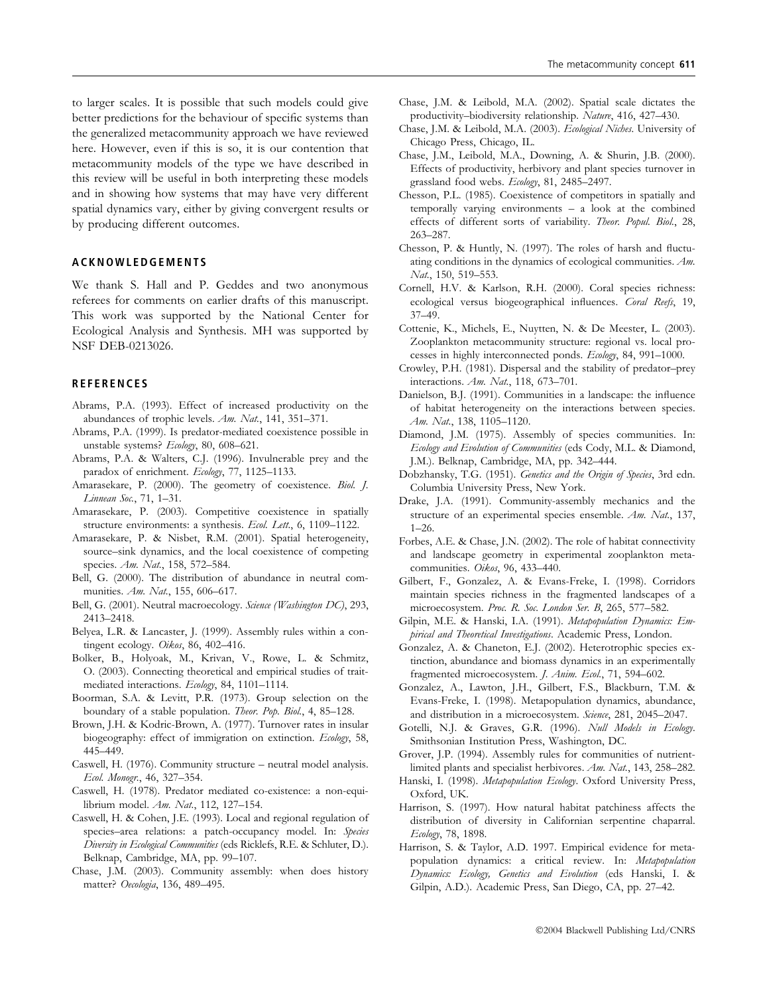to larger scales. It is possible that such models could give better predictions for the behaviour of specific systems than the generalized metacommunity approach we have reviewed here. However, even if this is so, it is our contention that metacommunity models of the type we have described in this review will be useful in both interpreting these models and in showing how systems that may have very different spatial dynamics vary, either by giving convergent results or by producing different outcomes.

# ACKNOWLEDGEMENTS

We thank S. Hall and P. Geddes and two anonymous referees for comments on earlier drafts of this manuscript. This work was supported by the National Center for Ecological Analysis and Synthesis. MH was supported by NSF DEB-0213026.

#### **REFERENCES**

- Abrams, P.A. (1993). Effect of increased productivity on the abundances of trophic levels. Am. Nat., 141, 351–371.
- Abrams, P.A. (1999). Is predator-mediated coexistence possible in unstable systems? Ecology, 80, 608–621.
- Abrams, P.A. & Walters, C.J. (1996). Invulnerable prey and the paradox of enrichment. Ecology, 77, 1125-1133.
- Amarasekare, P. (2000). The geometry of coexistence. Biol. J. Linnean Soc., 71, 1–31.
- Amarasekare, P. (2003). Competitive coexistence in spatially structure environments: a synthesis. Ecol. Lett., 6, 1109-1122.
- Amarasekare, P. & Nisbet, R.M. (2001). Spatial heterogeneity, source–sink dynamics, and the local coexistence of competing species. Am. Nat., 158, 572-584.
- Bell, G. (2000). The distribution of abundance in neutral communities. Am. Nat., 155, 606-617.
- Bell, G. (2001). Neutral macroecology. Science (Washington DC), 293, 2413–2418.
- Belyea, L.R. & Lancaster, J. (1999). Assembly rules within a contingent ecology. Oikos, 86, 402–416.
- Bolker, B., Holyoak, M., Krivan, V., Rowe, L. & Schmitz, O. (2003). Connecting theoretical and empirical studies of traitmediated interactions. Ecology, 84, 1101–1114.
- Boorman, S.A. & Levitt, P.R. (1973). Group selection on the boundary of a stable population. Theor. Pop. Biol., 4, 85–128.
- Brown, J.H. & Kodric-Brown, A. (1977). Turnover rates in insular biogeography: effect of immigration on extinction. Ecology, 58, 445–449.
- Caswell, H. (1976). Community structure neutral model analysis. Ecol. Monogr., 46, 327–354.
- Caswell, H. (1978). Predator mediated co-existence: a non-equilibrium model. Am. Nat., 112, 127–154.
- Caswell, H. & Cohen, J.E. (1993). Local and regional regulation of species-area relations: a patch-occupancy model. In: Species Diversity in Ecological Communities (eds Ricklefs, R.E. & Schluter, D.). Belknap, Cambridge, MA, pp. 99–107.
- Chase, J.M. (2003). Community assembly: when does history matter? Oecologia, 136, 489–495.
- Chase, J.M. & Leibold, M.A. (2002). Spatial scale dictates the productivity–biodiversity relationship. Nature, 416, 427–430.
- Chase, J.M. & Leibold, M.A. (2003). Ecological Niches. University of Chicago Press, Chicago, IL.
- Chase, J.M., Leibold, M.A., Downing, A. & Shurin, J.B. (2000). Effects of productivity, herbivory and plant species turnover in grassland food webs. Ecology, 81, 2485–2497.
- Chesson, P.L. (1985). Coexistence of competitors in spatially and temporally varying environments – a look at the combined effects of different sorts of variability. Theor. Popul. Biol., 28, 263–287.
- Chesson, P. & Huntly, N. (1997). The roles of harsh and fluctuating conditions in the dynamics of ecological communities. Am. Nat., 150, 519–553.
- Cornell, H.V. & Karlson, R.H. (2000). Coral species richness: ecological versus biogeographical influences. Coral Reefs, 19, 37–49.
- Cottenie, K., Michels, E., Nuytten, N. & De Meester, L. (2003). Zooplankton metacommunity structure: regional vs. local processes in highly interconnected ponds. Ecology, 84, 991–1000.
- Crowley, P.H. (1981). Dispersal and the stability of predator–prey interactions. Am. Nat., 118, 673–701.
- Danielson, B.J. (1991). Communities in a landscape: the influence of habitat heterogeneity on the interactions between species. Am. Nat., 138, 1105-1120.
- Diamond, J.M. (1975). Assembly of species communities. In: Ecology and Evolution of Communities (eds Cody, M.L. & Diamond, J.M.). Belknap, Cambridge, MA, pp. 342–444.
- Dobzhansky, T.G. (1951). Genetics and the Origin of Species, 3rd edn. Columbia University Press, New York.
- Drake, J.A. (1991). Community-assembly mechanics and the structure of an experimental species ensemble. Am. Nat., 137, 1–26.
- Forbes, A.E. & Chase, J.N. (2002). The role of habitat connectivity and landscape geometry in experimental zooplankton metacommunities. Oikos, 96, 433–440.
- Gilbert, F., Gonzalez, A. & Evans-Freke, I. (1998). Corridors maintain species richness in the fragmented landscapes of a microecosystem. Proc. R. Soc. London Ser. B, 265, 577-582.
- Gilpin, M.E. & Hanski, I.A. (1991). Metapopulation Dynamics: Empirical and Theoretical Investigations. Academic Press, London.
- Gonzalez, A. & Chaneton, E.J. (2002). Heterotrophic species extinction, abundance and biomass dynamics in an experimentally fragmented microecosystem. *J. Anim. Ecol.*, 71, 594-602.
- Gonzalez, A., Lawton, J.H., Gilbert, F.S., Blackburn, T.M. & Evans-Freke, I. (1998). Metapopulation dynamics, abundance, and distribution in a microecosystem. Science, 281, 2045-2047.
- Gotelli, N.J. & Graves, G.R. (1996). Null Models in Ecology. Smithsonian Institution Press, Washington, DC.
- Grover, J.P. (1994). Assembly rules for communities of nutrientlimited plants and specialist herbivores. Am. Nat., 143, 258–282.
- Hanski, I. (1998). Metapopulation Ecology. Oxford University Press, Oxford, UK.
- Harrison, S. (1997). How natural habitat patchiness affects the distribution of diversity in Californian serpentine chaparral. Ecology, 78, 1898.
- Harrison, S. & Taylor, A.D. 1997. Empirical evidence for metapopulation dynamics: a critical review. In: Metapopulation Dynamics: Ecology, Genetics and Evolution (eds Hanski, I. & Gilpin, A.D.). Academic Press, San Diego, CA, pp. 27–42.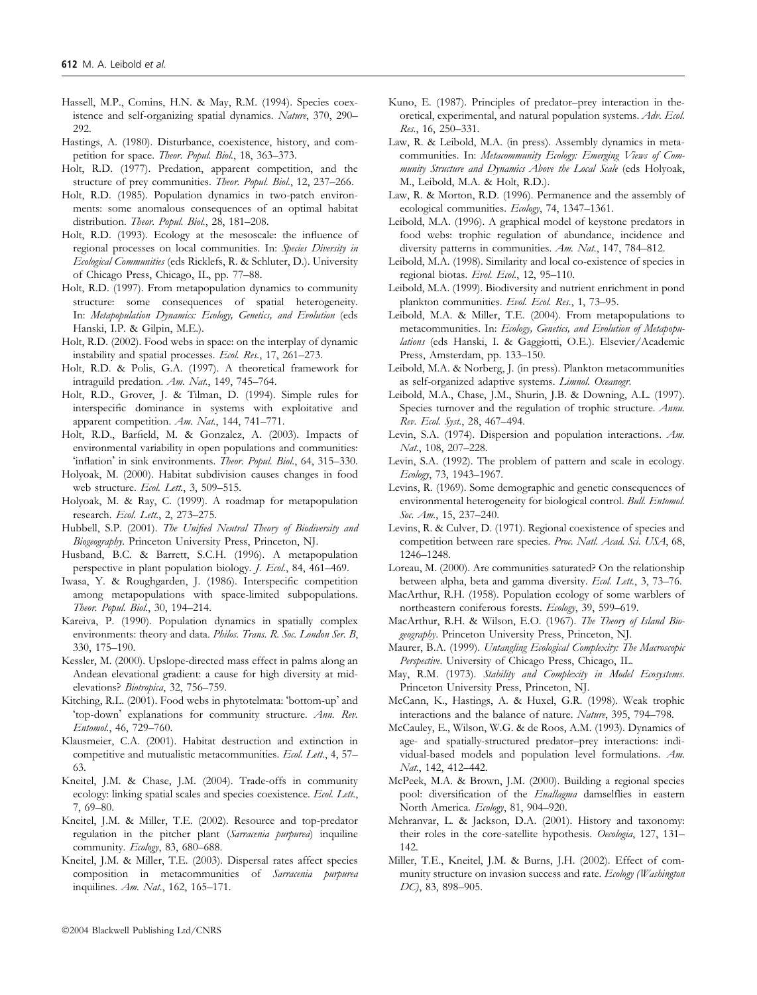- Hassell, M.P., Comins, H.N. & May, R.M. (1994). Species coexistence and self-organizing spatial dynamics. Nature, 370, 290– 292.
- Hastings, A. (1980). Disturbance, coexistence, history, and competition for space. Theor. Popul. Biol., 18, 363-373.
- Holt, R.D. (1977). Predation, apparent competition, and the structure of prey communities. Theor. Popul. Biol., 12, 237–266.
- Holt, R.D. (1985). Population dynamics in two-patch environments: some anomalous consequences of an optimal habitat distribution. Theor. Popul. Biol., 28, 181-208.
- Holt, R.D. (1993). Ecology at the mesoscale: the influence of regional processes on local communities. In: Species Diversity in Ecological Communities (eds Ricklefs, R. & Schluter, D.). University of Chicago Press, Chicago, IL, pp. 77–88.
- Holt, R.D. (1997). From metapopulation dynamics to community structure: some consequences of spatial heterogeneity. In: Metapopulation Dynamics: Ecology, Genetics, and Evolution (eds Hanski, I.P. & Gilpin, M.E.).
- Holt, R.D. (2002). Food webs in space: on the interplay of dynamic instability and spatial processes. Ecol. Res., 17, 261–273.
- Holt, R.D. & Polis, G.A. (1997). A theoretical framework for intraguild predation. Am. Nat., 149, 745-764.
- Holt, R.D., Grover, J. & Tilman, D. (1994). Simple rules for interspecific dominance in systems with exploitative and apparent competition. Am. Nat., 144, 741–771.
- Holt, R.D., Barfield, M. & Gonzalez, A. (2003). Impacts of environmental variability in open populations and communities: 'inflation' in sink environments. Theor. Popul. Biol., 64, 315-330.
- Holyoak, M. (2000). Habitat subdivision causes changes in food web structure. Ecol. Lett., 3, 509-515.
- Holyoak, M. & Ray, C. (1999). A roadmap for metapopulation research. Ecol. Lett., 2, 273–275.
- Hubbell, S.P. (2001). The Unified Neutral Theory of Biodiversity and Biogeography. Princeton University Press, Princeton, NJ.
- Husband, B.C. & Barrett, S.C.H. (1996). A metapopulation perspective in plant population biology. J. Ecol., 84, 461–469.
- Iwasa, Y. & Roughgarden, J. (1986). Interspecific competition among metapopulations with space-limited subpopulations. Theor. Popul. Biol., 30, 194–214.
- Kareiva, P. (1990). Population dynamics in spatially complex environments: theory and data. Philos. Trans. R. Soc. London Ser. B, 330, 175–190.
- Kessler, M. (2000). Upslope-directed mass effect in palms along an Andean elevational gradient: a cause for high diversity at midelevations? Biotropica, 32, 756-759.
- Kitching, R.L. (2001). Food webs in phytotelmata: 'bottom-up' and 'top-down' explanations for community structure. Ann. Rev. Entomol., 46, 729–760.
- Klausmeier, C.A. (2001). Habitat destruction and extinction in competitive and mutualistic metacommunities. Ecol. Lett., 4, 57-63.
- Kneitel, J.M. & Chase, J.M. (2004). Trade-offs in community ecology: linking spatial scales and species coexistence. Ecol. Lett., 7, 69–80.
- Kneitel, J.M. & Miller, T.E. (2002). Resource and top-predator regulation in the pitcher plant (Sarracenia purpurea) inquiline community. Ecology, 83, 680-688.
- Kneitel, J.M. & Miller, T.E. (2003). Dispersal rates affect species composition in metacommunities of Sarracenia purpurea inquilines. Am. Nat., 162, 165-171.
- Kuno, E. (1987). Principles of predator–prey interaction in theoretical, experimental, and natural population systems. Adv. Ecol. Res., 16, 250–331.
- Law, R. & Leibold, M.A. (in press). Assembly dynamics in metacommunities. In: Metacommunity Ecology: Emerging Views of Community Structure and Dynamics Above the Local Scale (eds Holyoak, M., Leibold, M.A. & Holt, R.D.).
- Law, R. & Morton, R.D. (1996). Permanence and the assembly of ecological communities. Ecology, 74, 1347–1361.
- Leibold, M.A. (1996). A graphical model of keystone predators in food webs: trophic regulation of abundance, incidence and diversity patterns in communities. Am. Nat., 147, 784–812.
- Leibold, M.A. (1998). Similarity and local co-existence of species in regional biotas. Evol. Ecol., 12, 95-110.
- Leibold, M.A. (1999). Biodiversity and nutrient enrichment in pond plankton communities. Evol. Ecol. Res., 1, 73–95.
- Leibold, M.A. & Miller, T.E. (2004). From metapopulations to metacommunities. In: Ecology, Genetics, and Evolution of Metapopulations (eds Hanski, I. & Gaggiotti, O.E.). Elsevier/Academic Press, Amsterdam, pp. 133–150.
- Leibold, M.A. & Norberg, J. (in press). Plankton metacommunities as self-organized adaptive systems. Limnol. Oceanogr.
- Leibold, M.A., Chase, J.M., Shurin, J.B. & Downing, A.L. (1997). Species turnover and the regulation of trophic structure. Annu. Rev. Ecol. Syst., 28, 467–494.
- Levin, S.A. (1974). Dispersion and population interactions. Am. Nat., 108, 207-228.
- Levin, S.A. (1992). The problem of pattern and scale in ecology. Ecology, 73, 1943–1967.
- Levins, R. (1969). Some demographic and genetic consequences of environmental heterogeneity for biological control. Bull. Entomol. Soc. Am., 15, 237-240.
- Levins, R. & Culver, D. (1971). Regional coexistence of species and competition between rare species. Proc. Natl. Acad. Sci. USA, 68, 1246–1248.
- Loreau, M. (2000). Are communities saturated? On the relationship between alpha, beta and gamma diversity. Ecol. Lett., 3, 73-76.
- MacArthur, R.H. (1958). Population ecology of some warblers of northeastern coniferous forests. Ecology, 39, 599–619.
- MacArthur, R.H. & Wilson, E.O. (1967). The Theory of Island Biogeography. Princeton University Press, Princeton, NJ.
- Maurer, B.A. (1999). Untangling Ecological Complexity: The Macroscopic Perspective. University of Chicago Press, Chicago, IL.
- May, R.M. (1973). Stability and Complexity in Model Ecosystems. Princeton University Press, Princeton, NJ.
- McCann, K., Hastings, A. & Huxel, G.R. (1998). Weak trophic interactions and the balance of nature. Nature, 395, 794–798.
- McCauley, E., Wilson, W.G. & de Roos, A.M. (1993). Dynamics of age- and spatially-structured predator–prey interactions: individual-based models and population level formulations. Am. Nat., 142, 412–442.
- McPeek, M.A. & Brown, J.M. (2000). Building a regional species pool: diversification of the Enallagma damselflies in eastern North America. Ecology, 81, 904–920.
- Mehranvar, L. & Jackson, D.A. (2001). History and taxonomy: their roles in the core-satellite hypothesis. Oecologia, 127, 131-142.
- Miller, T.E., Kneitel, J.M. & Burns, J.H. (2002). Effect of community structure on invasion success and rate. Ecology (Washington DC), 83, 898–905.